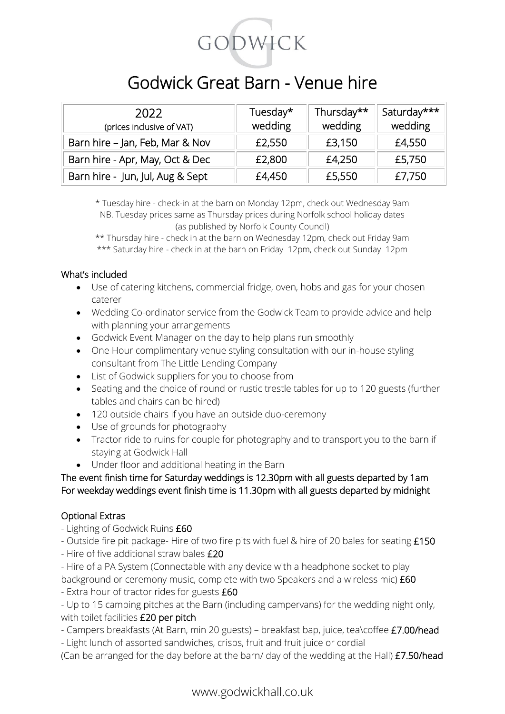

## Godwick Great Barn - Venue hire

| 2022<br>(prices inclusive of VAT) | Tuesday*<br>wedding | Thursday**<br>wedding | Saturday***<br>wedding |
|-----------------------------------|---------------------|-----------------------|------------------------|
| Barn hire - Jan, Feb, Mar & Nov   | £2,550              | £3,150                | £4,550                 |
| Barn hire - Apr, May, Oct & Dec   | £2,800              | £4,250                | £5,750                 |
| Barn hire - Jun, Jul, Aug & Sept  | £4,450              | £5,550                | £7,750                 |

\* Tuesday hire - check-in at the barn on Monday 12pm, check out Wednesday 9am NB. Tuesday prices same as Thursday prices during Norfolk school holiday dates (as published by Norfolk County Council)

\*\* Thursday hire - check in at the barn on Wednesday 12pm, check out Friday 9am \*\*\* Saturday hire - check in at the barn on Friday 12pm, check out Sunday 12pm

#### What's included

- Use of catering kitchens, commercial fridge, oven, hobs and gas for your chosen caterer
- Wedding Co-ordinator service from the Godwick Team to provide advice and help with planning your arrangements
- Godwick Event Manager on the day to help plans run smoothly
- One Hour complimentary venue styling consultation with our in-house styling consultant from The Little Lending Company
- List of Godwick suppliers for you to choose from
- Seating and the choice of round or rustic trestle tables for up to 120 guests (further tables and chairs can be hired)
- 120 outside chairs if you have an outside duo-ceremony
- Use of grounds for photography
- Tractor ride to ruins for couple for photography and to transport you to the barn if staying at Godwick Hall
- Under floor and additional heating in the Barn

#### The event finish time for Saturday weddings is 12.30pm with all guests departed by 1am For weekday weddings event finish time is 11.30pm with all guests departed by midnight

### Optional Extras

- Lighting of Godwick Ruins £60
- Outside fire pit package- Hire of two fire pits with fuel & hire of 20 bales for seating £150
- Hire of five additional straw bales £20

- Hire of a PA System (Connectable with any device with a headphone socket to play background or ceremony music, complete with two Speakers and a wireless mic) £60

- Extra hour of tractor rides for guests £60

- Up to 15 camping pitches at the Barn (including campervans) for the wedding night only, with toilet facilities £20 per pitch

- Campers breakfasts (At Barn, min 20 guests) breakfast bap, juice, tea\coffee £7.00/head
- Light lunch of assorted sandwiches, crisps, fruit and fruit juice or cordial

(Can be arranged for the day before at the barn/ day of the wedding at the Hall) £7.50/head